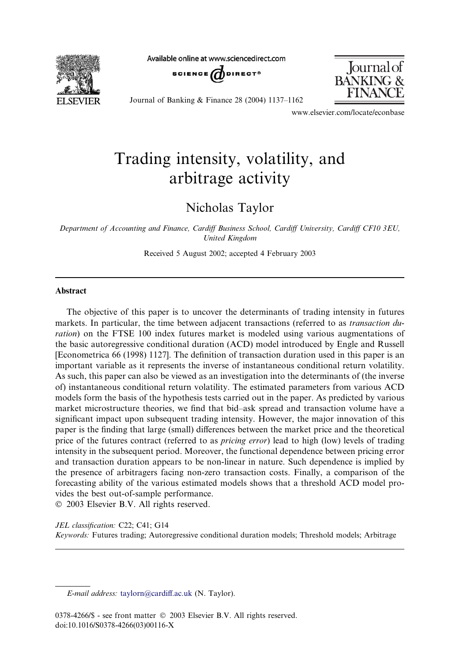**FI SEVIER** 

Available online at www.sciencedirect.com





Journal of Banking & Finance 28 (2004)  $1137-1162$ 

www.elsevier.com/locate/econbase

## Trading intensity, volatility, and arbitrage activity

Nicholas Taylor

Department of Accounting and Finance, Cardiff Business School, Cardiff University, Cardiff CF10 3EU, United Kingdom

Received 5 August 2002; accepted 4 February 2003

## Abstract

The objective of this paper is to uncover the determinants of trading intensity in futures markets. In particular, the time between adjacent transactions (referred to as *transaction du*ration) on the FTSE 100 index futures market is modeled using various augmentations of the basic autoregressive conditional duration (ACD) model introduced by Engle and Russell [Econometrica 66 (1998) 1127]. The definition of transaction duration used in this paper is an important variable as it represents the inverse of instantaneous conditional return volatility. As such, this paper can also be viewed as an investigation into the determinants of(the inverse of) instantaneous conditional return volatility. The estimated parameters from various ACD models form the basis of the hypothesis tests carried out in the paper. As predicted by various market microstructure theories, we find that bid–ask spread and transaction volume have a significant impact upon subsequent trading intensity. However, the major innovation of this paper is the finding that large (small) differences between the market price and the theoretical price of the futures contract (referred to as *pricing error*) lead to high (low) levels of trading intensity in the subsequent period. Moreover, the functional dependence between pricing error and transaction duration appears to be non-linear in nature. Such dependence is implied by the presence of arbitragers facing non-zero transaction costs. Finally, a comparison of the forecasting ability of the various estimated models shows that a threshold ACD model provides the best out-of-sample performance.

2003 Elsevier B.V. All rights reserved.

JEL classification: C22; C41; G14 Keywords: Futures trading; Autoregressive conditional duration models; Threshold models; Arbitrage

E-mail address: [taylorn@cardiff.ac.uk](mail to: taylorn@cardiff.ac.uk) (N. Taylor).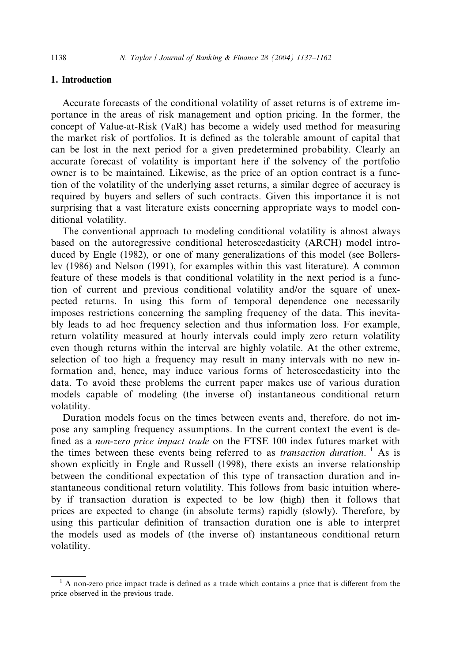## 1. Introduction

Accurate forecasts of the conditional volatility of asset returns is of extreme importance in the areas of risk management and option pricing. In the former, the concept of Value-at-Risk (VaR) has become a widely used method for measuring the market risk of portfolios. It is defined as the tolerable amount of capital that can be lost in the next period for a given predetermined probability. Clearly an accurate forecast of volatility is important here if the solvency of the portfolio owner is to be maintained. Likewise, as the price of an option contract is a function of the volatility of the underlying asset returns, a similar degree of accuracy is required by buyers and sellers of such contracts. Given this importance it is not surprising that a vast literature exists concerning appropriate ways to model conditional volatility.

The conventional approach to modeling conditional volatility is almost always based on the autoregressive conditional heteroscedasticity (ARCH) model introduced by Engle (1982), or one of many generalizations of this model (see Bollerslev (1986) and Nelson (1991), for examples within this vast literature). A common feature of these models is that conditional volatility in the next period is a function of current and previous conditional volatility and/or the square of unexpected returns. In using this form of temporal dependence one necessarily imposes restrictions concerning the sampling frequency of the data. This inevitably leads to ad hoc frequency selection and thus information loss. For example, return volatility measured at hourly intervals could imply zero return volatility even though returns within the interval are highly volatile. At the other extreme, selection of too high a frequency may result in many intervals with no new information and, hence, may induce various forms of heteroscedasticity into the data. To avoid these problems the current paper makes use of various duration models capable of modeling (the inverse of) instantaneous conditional return volatility.

Duration models focus on the times between events and, therefore, do not impose any sampling frequency assumptions. In the current context the event is defined as a non-zero price impact trade on the FTSE 100 index futures market with the times between these events being referred to as *transaction duration*.<sup>1</sup> As is shown explicitly in Engle and Russell (1998), there exists an inverse relationship between the conditional expectation of this type of transaction duration and instantaneous conditional return volatility. This follows from basic intuition whereby if transaction duration is expected to be low (high) then it follows that prices are expected to change (in absolute terms) rapidly (slowly). Therefore, by using this particular definition of transaction duration one is able to interpret the models used as models of(the inverse of) instantaneous conditional return volatility.

 $<sup>1</sup>$  A non-zero price impact trade is defined as a trade which contains a price that is different from the</sup> price observed in the previous trade.